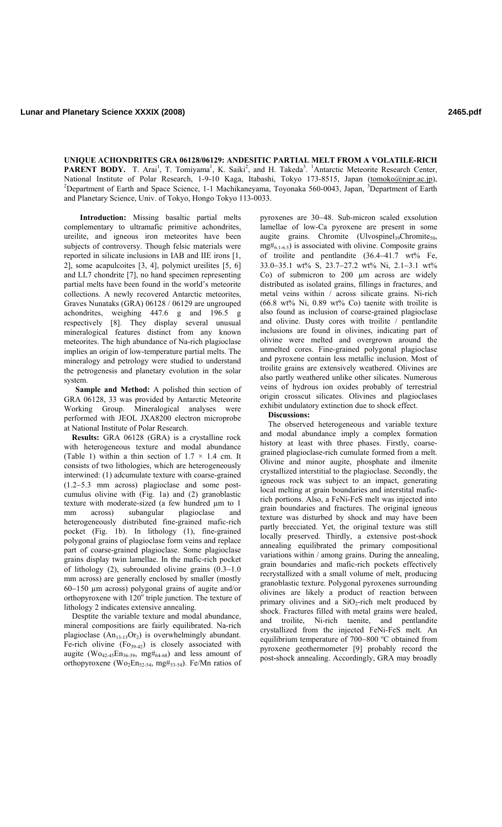**UNIQUE ACHONDRITES GRA 06128/06129: ANDESITIC PARTIAL MELT FROM A VOLATILE-RICH**  PARENT BODY. T. Arai<sup>1</sup>, T. Tomiyama<sup>1</sup>, K. Saiki<sup>2</sup>, and H. Takeda<sup>3</sup>. <sup>1</sup>Antarctic Meteorite Research Center, National Institute of Polar Research, 1-9-10 Kaga, Itabashi, Tokyo 173-8515, Japan (tomoko@nipr.ac.jp), Department of Earth and Space Science, 1-1 Machikaneyama, Toyonaka 560-0043, Japan, <sup>3</sup>Department of Earth and Planetary Science, Univ. of Tokyo, Hongo Tokyo 113-0033.

**Introduction:** Missing basaltic partial melts complementary to ultramafic primitive achondrites, ureilite, and igneous iron meteorites have been subjects of controversy. Though felsic materials were reported in silicate inclusions in IAB and IIE irons [1, 2], some acapulcoites [3, 4], polymict ureilites [5, 6] and LL7 chondrite [7], no hand specimen representing partial melts have been found in the world's meteorite collections. A newly recovered Antarctic meteorites, Graves Nunataks (GRA) 06128 / 06129 are ungrouped achondrites, weighing 447.6 g and 196.5 g respectively [8]. They display several unusual mineralogical features distinct from any known meteorites. The high abundance of Na-rich plagioclase implies an origin of low-temperature partial melts. The mineralogy and petrology were studied to understand the petrogenesis and planetary evolution in the solar system.

**Sample and Method:** A polished thin section of GRA 06128, 33 was provided by Antarctic Meteorite Working Group. Mineralogical analyses were performed with JEOL JXA8200 electron microprobe at National Institute of Polar Research.

**Results:** GRA 06128 (GRA) is a crystalline rock with heterogeneous texture and modal abundance (Table 1) within a thin section of  $1.7 \times 1.4$  cm. It consists of two lithologies, which are heterogeneously interwined: (1) adcumulate texture with coarse-grained (1.2−5.3 mm across) plagioclase and some postcumulus olivine with (Fig. 1a) and (2) granoblastic texture with moderate-sized (a few hundred µm to 1 mm across) subangular plagioclase and heterogeneously distributed fine-grained mafic-rich pocket (Fig. 1b). In lithology (1), fine-grained polygonal grains of plagioclase form veins and replace part of coarse-grained plagioclase. Some plagioclase grains display twin lamellae. In the mafic-rich pocket of lithology (2), subrounded olivine grains (0.3−1.0 mm across) are generally enclosed by smaller (mostly 60−150 µm across) polygonal grains of augite and/or orthopyroxene with  $120^{\circ}$  triple junction. The texture of lithology 2 indicates extensive annealing.

Desptite the variable texture and modal abundance, mineral compositions are fairly equilibrated. Na-rich plagioclase  $(An_{13-15}Or_2)$  is overwhelmingly abundant. Fe-rich olivine  $(Fo_{39-42})$  is closely associated with augite (Wo<sub>42-45</sub>En<sub>36-39</sub>, mg#<sub>64-68</sub>) and less amount of orthopyroxene (Wo<sub>2</sub>En<sub>52-54</sub>, mg#<sub>53-54</sub>). Fe/Mn ratios of

pyroxenes are 30−48. Sub-micron scaled exsolution lamellae of low-Ca pyroxene are present in some augite grains. Chromite (Ulvospinel<sub>39</sub>Chromite<sub>50</sub>,  $mg\#_{6,1-6.5}$ ) is associated with olivine. Composite grains of troilite and pentlandite (36.4−41.7 wt% Fe, 33.0−35.1 wt% S, 23.7−27.2 wt% Ni, 2.1−3.1 wt% Co) of submicron to 200  $\mu$ m across are widely distributed as isolated grains, fillings in fractures, and metal veins within / across silicate grains. Ni-rich  $(66.8 \text{ wt\% Ni}, 0.89 \text{ wt\% Co})$  taenite with troilite is also found as inclusion of coarse-grained plagioclase and olivine. Dusty cores with troilite / pentlandite inclusions are found in olivines, indicating part of olivine were melted and overgrown around the unmelted cores. Fine-grained polygonal plagioclase and pyroxene contain less metallic inclusion. Most of troilite grains are extensively weathered. Olivines are also partly weathered unlike other silicates. Numerous veins of hydrous ion oxides probably of terrestrial origin crosscut silicates. Olivines and plagioclases exhibit undulatory extinction due to shock effect.

## **Discussions:**

The observed heterogeneous and variable texture and modal abundance imply a complex formation history at least with three phases. Firstly, coarsegrained plagioclase-rich cumulate formed from a melt. Olivine and minor augite, phosphate and ilmenite crystallized interstitial to the plagioclase. Secondly, the igneous rock was subject to an impact, generating local melting at grain boundaries and interstital maficrich portions. Also, a FeNi-FeS melt was injected into grain boundaries and fractures. The original igneous texture was disturbed by shock and may have been partly brecciated. Yet, the original texture was still locally preserved. Thirdly, a extensive post-shock annealing equilibrated the primary compositional variations within / among grains. During the annealing, grain boundaries and mafic-rich pockets effectively recrystallized with a small volume of melt, producing granoblastic texture. Polygonal pyroxenes surrounding olivines are likely a product of reaction between primary olivines and a  $SiO<sub>2</sub>$ -rich melt produced by shock. Fractures filled with metal grains were healed, and troilite, Ni-rich taenite, and pentlandite crystallized from the injected FeNi-FeS melt. An equilibrium temperature of 700–800 °C obtained from pyroxene geothermometer [9] probably record the post-shock annealing. Accordingly, GRA may broadly